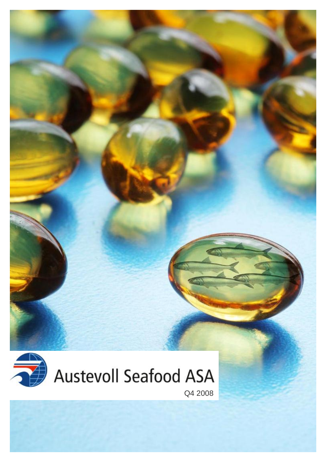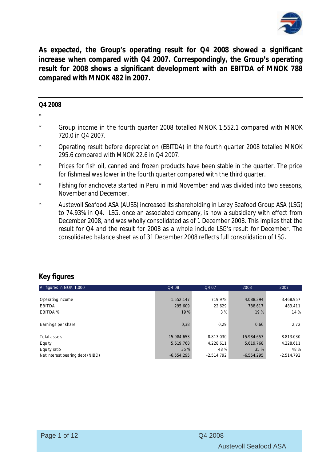

**As expected, the Group's operating result for Q4 2008 showed a significant increase when compared with Q4 2007. Correspondingly, the Group's operating result for 2008 shows a significant development with an EBITDA of MNOK 788 compared with MNOK 482 in 2007.** 

#### **Q4 2008**

\*

- \* Group income in the fourth quarter 2008 totalled MNOK 1,552.1 compared with MNOK 720.0 in Q4 2007.
- \* Operating result before depreciation (EBITDA) in the fourth quarter 2008 totalled MNOK 295.6 compared with MNOK 22.6 in Q4 2007.
- \* Prices for fish oil, canned and frozen products have been stable in the quarter. The price for fishmeal was lower in the fourth quarter compared with the third quarter.
- \* Fishing for anchoveta started in Peru in mid November and was divided into two seasons, November and December.
- Austevoll Seafood ASA (AUSS) increased its shareholding in Lerøy Seafood Group ASA (LSG) to 74.93% in Q4. LSG, once an associated company, is now a subsidiary with effect from December 2008, and was wholly consolidated as of 1 December 2008. This implies that the result for Q4 and the result for 2008 as a whole include LSG's result for December. The consolidated balance sheet as of 31 December 2008 reflects full consolidation of LSG.

# **Key figures**

| All figures in NOK 1.000         | Q4 08        | Q4 07        | 2008         | 2007         |
|----------------------------------|--------------|--------------|--------------|--------------|
|                                  |              |              |              |              |
| Operating income                 | 1.552.147    | 719.978      | 4.088.394    | 3.468.957    |
| <b>EBITDA</b>                    | 295.609      | 22.629       | 788.617      | 483.411      |
| EBITDA %                         | 19 %         | 3 %          | 19 %         | 14 %         |
|                                  |              |              |              |              |
| Earnings per share               | 0,38         | 0,29         | 0,66         | 2,72         |
|                                  |              |              |              |              |
| Total assets                     | 15.984.653   | 8.813.030    | 15.984.653   | 8.813.030    |
| Equity                           | 5.619.768    | 4.228.611    | 5.619.768    | 4.228.611    |
| Equity ratio                     | 35 %         | 48 %         | 35 %         | 48%          |
| Net interest bearing debt (NIBD) | $-6.554.295$ | $-2.514.792$ | $-6.554.295$ | $-2.514.792$ |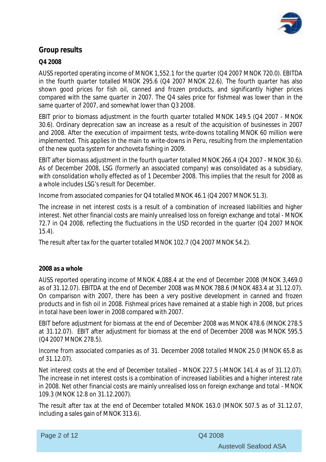

# **Group results**

### **Q4 2008**

AUSS reported operating income of MNOK 1,552.1 for the quarter (Q4 2007 MNOK 720.0). EBITDA in the fourth quarter totalled MNOK 295.6 (Q4 2007 MNOK 22.6). The fourth quarter has also shown good prices for fish oil, canned and frozen products, and significantly higher prices compared with the same quarter in 2007. The Q4 sales price for fishmeal was lower than in the same quarter of 2007, and somewhat lower than Q3 2008.

EBIT prior to biomass adjustment in the fourth quarter totalled MNOK 149.5 (Q4 2007 - MNOK 30.6). Ordinary deprecation saw an increase as a result of the acquisition of businesses in 2007 and 2008. After the execution of impairment tests, write-downs totalling MNOK 60 million were implemented. This applies in the main to write-downs in Peru, resulting from the implementation of the new quota system for anchoveta fishing in 2009.

EBIT after biomass adjustment in the fourth quarter totalled MNOK 266.4 (Q4 2007 - MNOK 30.6). As of December 2008, LSG (formerly an associated company) was consolidated as a subsidiary, with consolidation wholly effected as of 1 December 2008. This implies that the result for 2008 as a whole includes LSG's result for December.

Income from associated companies for Q4 totalled MNOK 46.1 (Q4 2007 MNOK 51.3).

The increase in net interest costs is a result of a combination of increased liabilities and higher interest. Net other financial costs are mainly unrealised loss on foreign exchange and total - MNOK 72.7 in Q4 2008, reflecting the fluctuations in the USD recorded in the quarter (Q4 2007 MNOK 15.4).

The result after tax for the quarter totalled MNOK 102.7 (Q4 2007 MNOK 54.2).

#### **2008 as a whole**

AUSS reported operating income of MNOK 4,088.4 at the end of December 2008 (MNOK 3,469.0 as of 31.12.07). EBITDA at the end of December 2008 was MNOK 788.6 (MNOK 483.4 at 31.12.07). On comparison with 2007, there has been a very positive development in canned and frozen products and in fish oil in 2008. Fishmeal prices have remained at a stable high in 2008, but prices in total have been lower in 2008 compared with 2007.

EBIT before adjustment for biomass at the end of December 2008 was MNOK 478.6 (MNOK 278.5 at 31.12.07). EBIT after adjustment for biomass at the end of December 2008 was MNOK 595.5 (Q4 2007 MNOK 278.5).

Income from associated companies as of 31. December 2008 totalled MNOK 25.0 (MNOK 65.8 as of 31.12.07).

Net interest costs at the end of December totalled - MNOK 227.5 (-MNOK 141.4 as of 31.12.07). The increase in net interest costs is a combination of increased liabilities and a higher interest rate in 2008. Net other financial costs are mainly unrealised loss on foreign exchange and total - MNOK 109.3 (MNOK 12.8 on 31.12.2007).

The result after tax at the end of December totalled MNOK 163.0 (MNOK 507.5 as of 31.12.07, including a sales gain of MNOK 313.6).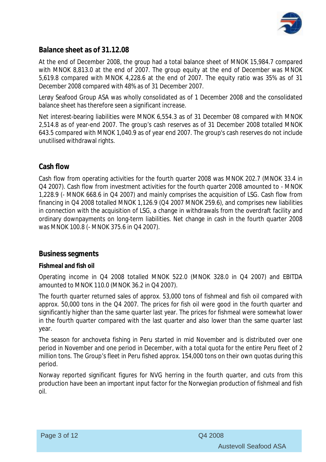

# **Balance sheet as of 31.12.08**

At the end of December 2008, the group had a total balance sheet of MNOK 15,984.7 compared with MNOK 8,813.0 at the end of 2007. The group equity at the end of December was MNOK 5,619.8 compared with MNOK 4,228.6 at the end of 2007. The equity ratio was 35% as of 31 December 2008 compared with 48% as of 31 December 2007.

Lerøy Seafood Group ASA was wholly consolidated as of 1 December 2008 and the consolidated balance sheet has therefore seen a significant increase.

Net interest-bearing liabilities were MNOK 6,554.3 as of 31 December 08 compared with MNOK 2,514.8 as of year-end 2007. The group's cash reserves as of 31 December 2008 totalled MNOK 643.5 compared with MNOK 1,040.9 as of year end 2007. The group's cash reserves do not include unutilised withdrawal rights.

# **Cash flow**

Cash flow from operating activities for the fourth quarter 2008 was MNOK 202.7 (MNOK 33.4 in Q4 2007). Cash flow from investment activities for the fourth quarter 2008 amounted to - MNOK 1,228.9 (- MNOK 668.6 in Q4 2007) and mainly comprises the acquisition of LSG. Cash flow from financing in Q4 2008 totalled MNOK 1,126.9 (Q4 2007 MNOK 259.6), and comprises new liabilities in connection with the acquisition of LSG, a change in withdrawals from the overdraft facility and ordinary downpayments on long-term liabilities. Net change in cash in the fourth quarter 2008 was MNOK 100.8 (- MNOK 375.6 in Q4 2007).

## **Business segments**

## **Fishmeal and fish oil**

Operating income in Q4 2008 totalled MNOK 522.0 (MNOK 328.0 in Q4 2007) and EBITDA amounted to MNOK 110.0 (MNOK 36.2 in Q4 2007).

The fourth quarter returned sales of approx. 53,000 tons of fishmeal and fish oil compared with approx. 50,000 tons in the Q4 2007. The prices for fish oil were good in the fourth quarter and significantly higher than the same quarter last year. The prices for fishmeal were somewhat lower in the fourth quarter compared with the last quarter and also lower than the same quarter last year.

The season for anchoveta fishing in Peru started in mid November and is distributed over one period in November and one period in December, with a total quota for the entire Peru fleet of 2 million tons. The Group's fleet in Peru fished approx. 154,000 tons on their own quotas during this period.

Norway reported significant figures for NVG herring in the fourth quarter, and cuts from this production have been an important input factor for the Norwegian production of fishmeal and fish oil.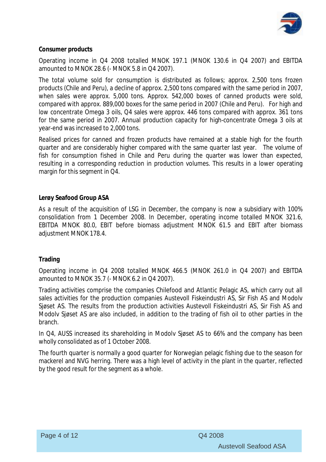

#### **Consumer products**

Operating income in Q4 2008 totalled MNOK 197.1 (MNOK 130.6 in Q4 2007) and EBITDA amounted to MNOK 28.6 (- MNOK 5.8 in Q4 2007).

The total volume sold for consumption is distributed as follows; approx. 2,500 tons frozen products (Chile and Peru), a decline of approx. 2,500 tons compared with the same period in 2007, when sales were approx. 5,000 tons. Approx. 542,000 boxes of canned products were sold, compared with approx. 889,000 boxes for the same period in 2007 (Chile and Peru). For high and low concentrate Omega 3 oils, Q4 sales were approx. 446 tons compared with approx. 361 tons for the same period in 2007. Annual production capacity for high-concentrate Omega 3 oils at year-end was increased to 2,000 tons.

Realised prices for canned and frozen products have remained at a stable high for the fourth quarter and are considerably higher compared with the same quarter last year. The volume of fish for consumption fished in Chile and Peru during the quarter was lower than expected, resulting in a corresponding reduction in production volumes. This results in a lower operating margin for this segment in Q4.

#### **Lerøy Seafood Group ASA**

As a result of the acquisition of LSG in December, the company is now a subsidiary with 100% consolidation from 1 December 2008. In December, operating income totalled MNOK 321.6, EBITDA MNOK 80.0, EBIT before biomass adjustment MNOK 61.5 and EBIT after biomass adjustment MNOK 178.4.

#### **Trading**

Operating income in Q4 2008 totalled MNOK 466.5 (MNOK 261.0 in Q4 2007) and EBITDA amounted to MNOK 35.7 (- MNOK 6.2 in Q4 2007).

Trading activities comprise the companies Chilefood and Atlantic Pelagic AS, which carry out all sales activities for the production companies Austevoll Fiskeindustri AS, Sir Fish AS and Modolv Sjøset AS. The results from the production activities Austevoll Fiskeindustri AS, Sir Fish AS and Modolv Sjøset AS are also included, in addition to the trading of fish oil to other parties in the branch.

In Q4, AUSS increased its shareholding in Modolv Sjøset AS to 66% and the company has been wholly consolidated as of 1 October 2008.

The fourth quarter is normally a good quarter for Norwegian pelagic fishing due to the season for mackerel and NVG herring. There was a high level of activity in the plant in the quarter, reflected by the good result for the segment as a whole.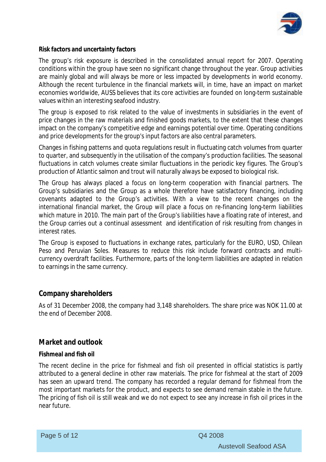

**Risk factors and uncertainty factors** 

The group's risk exposure is described in the consolidated annual report for 2007. Operating conditions within the group have seen no significant change throughout the year. Group activities are mainly global and will always be more or less impacted by developments in world economy. Although the recent turbulence in the financial markets will, in time, have an impact on market economies worldwide, AUSS believes that its core activities are founded on long-term sustainable values within an interesting seafood industry.

The group is exposed to risk related to the value of investments in subsidiaries in the event of price changes in the raw materials and finished goods markets, to the extent that these changes impact on the company's competitive edge and earnings potential over time. Operating conditions and price developments for the group's input factors are also central parameters.

Changes in fishing patterns and quota regulations result in fluctuating catch volumes from quarter to quarter, and subsequently in the utilisation of the company's production facilities. The seasonal fluctuations in catch volumes create similar fluctuations in the periodic key figures. The Group's production of Atlantic salmon and trout will naturally always be exposed to biological risk.

The Group has always placed a focus on long-term cooperation with financial partners. The Group's subsidiaries and the Group as a whole therefore have satisfactory financing, including covenants adapted to the Group's activities. With a view to the recent changes on the international financial market, the Group will place a focus on re-financing long-term liabilities which mature in 2010. The main part of the Group's liabilities have a floating rate of interest, and the Group carries out a continual assessment and identification of risk resulting from changes in interest rates.

The Group is exposed to fluctuations in exchange rates, particularly for the EURO, USD, Chilean Peso and Peruvian Soles. Measures to reduce this risk include forward contracts and multicurrency overdraft facilities. Furthermore, parts of the long-term liabilities are adapted in relation to earnings in the same currency.

## **Company shareholders**

As of 31 December 2008, the company had 3,148 shareholders. The share price was NOK 11.00 at the end of December 2008.

## **Market and outlook**

#### **Fishmeal and fish oil**

The recent decline in the price for fishmeal and fish oil presented in official statistics is partly attributed to a general decline in other raw materials. The price for fishmeal at the start of 2009 has seen an upward trend. The company has recorded a regular demand for fishmeal from the most important markets for the product, and expects to see demand remain stable in the future. The pricing of fish oil is still weak and we do not expect to see any increase in fish oil prices in the near future.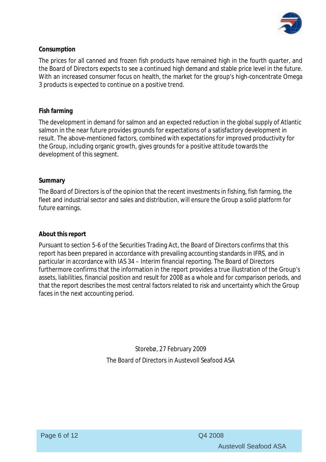

### **Consumption**

The prices for all canned and frozen fish products have remained high in the fourth quarter, and the Board of Directors expects to see a continued high demand and stable price level in the future. With an increased consumer focus on health, the market for the group's high-concentrate Omega 3 products is expected to continue on a positive trend.

#### **Fish farming**

The development in demand for salmon and an expected reduction in the global supply of Atlantic salmon in the near future provides grounds for expectations of a satisfactory development in result. The above-mentioned factors, combined with expectations for improved productivity for the Group, including organic growth, gives grounds for a positive attitude towards the development of this segment.

#### **Summary**

The Board of Directors is of the opinion that the recent investments in fishing, fish farming, the fleet and industrial sector and sales and distribution, will ensure the Group a solid platform for future earnings.

#### **About this report**

Pursuant to section 5-6 of the Securities Trading Act, the Board of Directors confirms that this report has been prepared in accordance with prevailing accounting standards in IFRS, and in particular in accordance with IAS 34 – Interim financial reporting. The Board of Directors furthermore confirms that the information in the report provides a true illustration of the Group's assets, liabilities, financial position and result for 2008 as a whole and for comparison periods, and that the report describes the most central factors related to risk and uncertainty which the Group faces in the next accounting period.

> Storebø, 27 February 2009 The Board of Directors in Austevoll Seafood ASA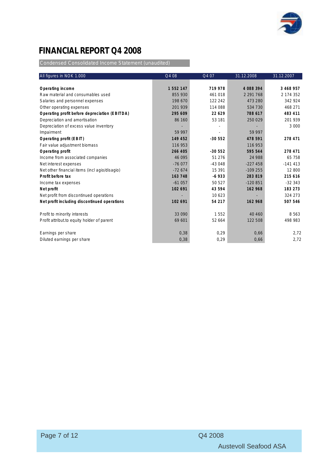

# **FINANCIAL REPORT Q4 2008**

Condensed Consolidated Income Statement (unaudited)

| All figures in NOK 1.000                      | Q4 08     | Q4 07    | 31.12.2008    | 31.12.2007 |
|-----------------------------------------------|-----------|----------|---------------|------------|
|                                               |           |          |               |            |
| Operating income                              | 1 552 147 | 719 978  | 4 088 394     | 3 468 957  |
| Raw material and consumables used             | 855 930   | 461 018  | 2 2 9 1 7 6 8 | 2 174 352  |
| Salaries and personnel expenses               | 198 670   | 122 242  | 473 280       | 342 924    |
| Other operating expenses                      | 201 939   | 114 088  | 534 730       | 468 271    |
| Operating profit before depreciation (EBITDA) | 295 609   | 22 629   | 788 617       | 483 411    |
| Depreciation and amortisation                 | 86 160    | 53 181   | 250 029       | 201 939    |
| Depreciation of excess value inventory        |           |          |               | 3 0 0 0    |
| Impairment                                    | 59 997    |          | 59 997        |            |
| Operating profit (EBIT)                       | 149 452   | $-30552$ | 478 591       | 278 471    |
| Fair value adjustment biomass                 | 116 953   |          | 116 953       |            |
| Operating profit                              | 266 405   | $-30552$ | 595 544       | 278 471    |
| Income from associated companies              | 46 095    | 51 276   | 24 988        | 65 758     |
| Net interest expenses                         | $-76077$  | $-43048$ | $-227458$     | $-141413$  |
| Net other financial items (incl agio/disagio) | $-72674$  | 15 391   | $-109255$     | 12 800     |
| Profit before tax                             | 163 748   | $-6933$  | 283 819       | 215 616    |
| Income tax expenses                           | $-61057$  | 50 527   | $-120851$     | $-32343$   |
| Net profit                                    | 102 691   | 43 594   | 162 968       | 183 273    |
| Net profit from discontinued operations       |           | 10 623   |               | 324 273    |
| Net profit including discontinued operations  | 102 691   | 54 217   | 162 968       | 507 546    |
| Profit to minority interests                  | 33 0 90   | 1552     | 40 460        | 8 5 6 3    |
| Profit attribut to equity holder of parent    | 69 601    | 52 664   | 122 508       | 498 983    |
| Earnings per share                            | 0,38      | 0,29     | 0,66          | 2,72       |
| Diluted earnings per share                    | 0,38      | 0,29     | 0,66          | 2,72       |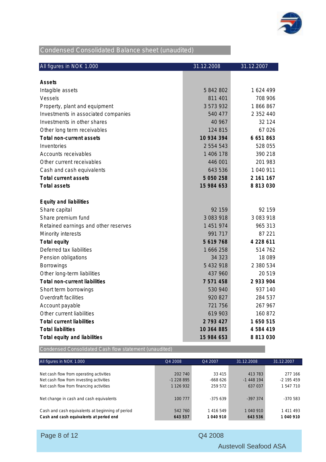

# Condensed Consolidated Balance sheet (unaudited)

| All figures in NOK 1.000             | 31.12.2008    | 31.12.2007    |
|--------------------------------------|---------------|---------------|
|                                      |               |               |
| Assets                               |               |               |
| Intagible assets                     | 5 842 802     | 1624499       |
| Vessels                              | 811 401       | 708 906       |
| Property, plant and equipment        | 3 573 932     | 1866867       |
| Investments in associated companies  | 540 477       | 2 3 5 2 4 4 0 |
| Investments in other shares          | 40 967        | 32 124        |
| Other long term receivables          | 124 815       | 67026         |
| Total non-current assets             | 10 934 394    | 6 651 863     |
| Inventories                          | 2 5 5 4 5 4 3 | 528 055       |
| Accounts receivables                 | 1 406 178     | 390 218       |
| Other current receivables            | 446 001       | 201 983       |
| Cash and cash equivalents            | 643 536       | 1 040 911     |
| Total current assets                 | 5 0 5 0 2 5 8 | 2 161 167     |
| <b>Total assets</b>                  | 15 984 653    | 8 813 030     |
| Equity and liabilities               |               |               |
| Share capital                        | 92 159        | 92 159        |
| Share premium fund                   | 3 083 918     | 3 083 918     |
| Retained earnings and other reserves | 1 451 974     | 965 313       |
| Minority interests                   | 991 717       | 87 221        |
| Total equity                         | 5 619 768     | 4 228 611     |
| Deferred tax liabilities             | 1 666 258     | 514 762       |
| Pension obligations                  | 34 323        | 18 089        |
| <b>Borrowings</b>                    | 5 432 918     | 2 380 534     |
| Other long-term liabilities          | 437 960       | 20519         |
| Total non-current liabilities        | 7 571 458     | 2 933 904     |
| Short term borrowings                | 530 940       | 937 140       |
| Overdraft facilities                 | 920 827       | 284 537       |
| Account payable                      | 721 756       | 267 967       |
| Other current liabilities            | 619 903       | 160 872       |
| <b>Total current liabilities</b>     | 2 7 9 3 4 2 7 | 1 650 515     |
| <b>Total liabilities</b>             | 10 364 885    | 4 584 419     |
| Total equity and liabilities         | 15 984 653    | 8 813 030     |

Condensed Consolidated Cash flow statement (unaudited)

| All figures in NOK 1.000                         | Q4 2008       | O <sub>4</sub> 2007 | 31.12.2008 | 31.12.2007   |
|--------------------------------------------------|---------------|---------------------|------------|--------------|
| Net cash flow from operating activities          | 202 740       | 33 415              | 413 783    | 277 166      |
| Net cash flow from investing activities          | $-1228895$    | -668 626            | $-1448194$ | $-2$ 195 459 |
| Net cash flow from financing activities          | 1 1 2 6 9 3 2 | 259 572             | 637037     | 1 547 710    |
| Net change in cash and cash equivalents          | 100 777       | $-375639$           | $-397.374$ | -370 583     |
| Cash and cash equivalents at beginning of period | 542 760       | 1 416 549           | 1 040 910  | 1 411 493    |
| Cash and cash equivalents at period end          | 643 537       | 1 040 910           | 643 536    | 1 040 910    |

|  | Page 8 of 12 |  |  |  |
|--|--------------|--|--|--|
|--|--------------|--|--|--|

Q4 2008

Austevoll Seafood ASA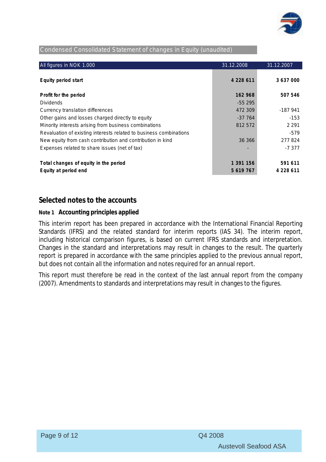

#### Condensed Consolidated Statement of changes in Equity (unaudited)

| All figures in NOK 1.000                                           | 31.12.2008 | 31.12.2007    |
|--------------------------------------------------------------------|------------|---------------|
|                                                                    |            |               |
| Equity period start                                                | 4 228 611  | 3 637 000     |
|                                                                    | 162 968    |               |
| Profit for the period                                              |            | 507 546       |
| <b>Dividends</b>                                                   | $-55295$   |               |
| Currency translation differences                                   | 472 309    | $-187941$     |
| Other gains and losses charged directly to equity                  | $-37764$   | $-153$        |
| Minority interests arising from business combinations              | 812 572    | 2 2 9 1       |
| Revaluation of existing interests related to business combinations |            | -579          |
| New equity from cash contribution and contribution in kind         | 36 366     | 277824        |
| Expenses related to share issues (net of tax)                      |            | -7377         |
|                                                                    |            |               |
| Total changes of equity in the period                              | 1 391 156  | 591 611       |
| Equity at period end                                               | 5 619 767  | 4 2 2 8 6 1 1 |

# **Selected notes to the accounts**

#### **Note 1 Accounting principles applied**

This interim report has been prepared in accordance with the International Financial Reporting Standards (IFRS) and the related standard for interim reports (IAS 34). The interim report, including historical comparison figures, is based on current IFRS standards and interpretation. Changes in the standard and interpretations may result in changes to the result. The quarterly report is prepared in accordance with the same principles applied to the previous annual report, but does not contain all the information and notes required for an annual report.

This report must therefore be read in the context of the last annual report from the company (2007). Amendments to standards and interpretations may result in changes to the figures.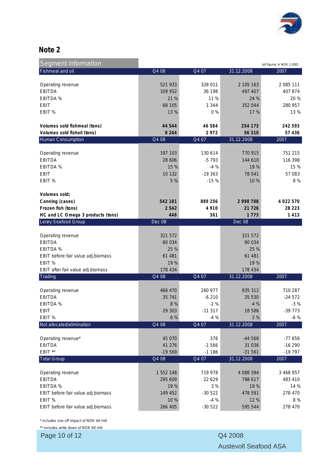

# **Note 2**

| <b>Segment information</b>                              |                      |                    |                          | (all figures in NOK 1.000) |
|---------------------------------------------------------|----------------------|--------------------|--------------------------|----------------------------|
| Fishmeal and oil                                        | Q4 08                | Q4 07              | 31.12.2008               | 2007                       |
|                                                         |                      |                    |                          |                            |
| Operating revenue                                       | 521 933              | 328 011            | 2 105 163                | 2 085 111                  |
| <b>EBITDA</b>                                           | 109 952              | 36 198             | 497 407                  | 407 874                    |
| EBITDA %                                                | 21 %                 | 11%                | 24 %                     | 20 %                       |
| <b>EBIT</b><br>EBIT %                                   | 68 105<br>13 %       | 1 3 4 4<br>0%      | 352 044<br>17 %          | 280 957<br>13 %            |
|                                                         |                      |                    |                          |                            |
| Volumes sold fishmeal (tons)                            | 44 544               | 46 584             | 254 173                  | 242 593                    |
| Volumes sold fishoil (tons)                             | 8 2 4 4              | 2972               | 56 310                   | 57 436                     |
| <b>Human Consumption</b>                                | Q4 08                | Q4 07              | 31.12.2008               | 2007                       |
|                                                         |                      |                    |                          |                            |
| Operating revenue                                       | 197 103              | 130 614            | 770 915                  | 751 215                    |
| <b>EBITDA</b>                                           | 28 606               | $-5793$            | 144 610                  | 116 398                    |
| EBITDA %                                                | 15 %                 | $-4%$              | 19 %                     | 15 %                       |
| <b>EBIT</b>                                             | 10 132               | $-19363$           | 78 041                   | 57 083                     |
| EBIT %                                                  | 5 %                  | $-15%$             | 10 %                     | 8 %                        |
| Volumes sold;                                           |                      |                    |                          |                            |
|                                                         |                      |                    |                          |                            |
| Canning (cases)                                         | 542 181<br>2542      | 889 256<br>4 9 1 0 | 2 9 9 8 7 0 8<br>21 7 26 | 4 0 2 2 5 7 0<br>28 2 2 3  |
| Frozen fish (tons)<br>HC and LC Omega 3 products (tons) | 446                  | 361                | 1 7 7 3                  | 1413                       |
| Lerøy Seafood Group                                     | Dec 08               |                    | <b>Dec 08</b>            |                            |
|                                                         |                      |                    |                          |                            |
| Operating revenue                                       | 321 572              |                    | 321 572                  |                            |
| <b>EBITDA</b>                                           | 80 0 34              |                    | 80 034                   |                            |
| <b>EBITDA%</b>                                          | 25 %                 |                    | 25 %                     |                            |
| EBIT before fair value adj.biomass                      | 61 481               |                    | 61 481                   |                            |
| EBIT %                                                  | 19 %                 |                    | 19 %                     |                            |
| EBIT after fair value adj.biomass                       | 178 434              |                    | 178 434                  |                            |
| Trading                                                 | Q4 08                | Q4 07              | 31.12.2008               | 2007                       |
| Operating revenue                                       | 466 470              | 260 977            | 935 312                  | 710 287                    |
| <b>EBITDA</b>                                           | 35 741               | $-6210$            | 35 530                   | $-24572$                   |
| EBITDA %                                                | 8 %                  | $-2%$              | 4 %                      | $-3%$                      |
| <b>EBIT</b>                                             | 29 303               | $-11317$           | 18 5 8 6                 | $-39773$                   |
| EBIT %                                                  | 6 %                  | $-4%$              | 2 %                      | $-6%$                      |
| Not allocated/elimination                               | Q4 08                | Q4 07              | 31.12.2008               | 2007                       |
|                                                         |                      |                    |                          |                            |
| Operating revenue*                                      | 45 070               | 376                | -44 568                  | $-77656$                   |
| <b>EBITDA</b>                                           | 41 276               | $-1566$            | 31 0 36                  | $-16290$                   |
| EBIT **                                                 | $-19569$             | $-1186$            | $-31561$                 | $-19797$                   |
| <b>Total Group</b>                                      | $Q$ 408              | Q4 07              | 31.12.2008               | 2007                       |
|                                                         |                      | 719 978            |                          |                            |
| Operating revenue<br><b>EBITDA</b>                      | 1 552 148<br>295 609 | 22 6 29            | 4 088 394<br>788 617     | 3 468 957<br>483 410       |
| EBITDA %                                                | 19 %                 | 3 %                | 19 %                     | 14 %                       |
| EBIT before fair value adj.biomass                      | 149 452              | $-30522$           | 478 591                  | 278 470                    |
| EBIT %                                                  | 10%                  | $-4%$              | 12 %                     | 8%                         |
| EBIT before fair value adj.biomass                      | 266 405              | $-30522$           | 595 544                  | 278 470                    |
|                                                         |                      |                    |                          |                            |

\* includes one off impact of NOK 44 mill

\*\* includes write down of NOK 60 mill

Page 10 of 12 Q4 2008

Austevoll Seafood ASA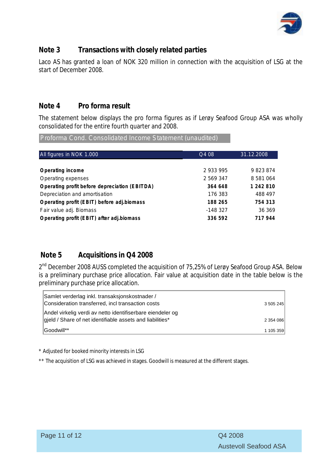

# **Note 3 Transactions with closely related parties**

Laco AS has granted a loan of NOK 320 million in connection with the acquisition of LSG at the start of December 2008.

# **Note 4 Pro forma result**

The statement below displays the pro forma figures as if Lerøy Seafood Group ASA was wholly consolidated for the entire fourth quarter and 2008.

Proforma Cond. Consolidated Income Statement (unaudited)

| All figures in NOK 1.000                      | Q4 08     | 31.12.2008    |
|-----------------------------------------------|-----------|---------------|
|                                               |           |               |
| Operating income                              | 2 933 995 | 9823874       |
| Operating expenses                            | 2 569 347 | 8 5 8 1 0 6 4 |
| Operating profit before depreciation (EBITDA) | 364 648   | 1 242 810     |
| Depreciation and amortisation                 | 176 383   | 488 497       |
| Operating profit (EBIT) before adj.biomass    | 188 265   | 754 313       |
| Fair value adj. Biomass                       | $-148327$ | 36 369        |
| Operating profit (EBIT) after adj.biomass     | 336 592   | 717 944       |
|                                               |           |               |

# **Note 5 Acquisitions in Q4 2008**

2<sup>nd</sup> December 2008 AUSS completed the acquisition of 75,25% of Lerøy Seafood Group ASA. Below is a preliminary purchase price allocation. Fair value at acquisition date in the table below is the preliminary purchase price allocation.

| Samlet verderlag inkl. transaksjonskostnader /<br>Consideration transferred, incl transaction costs                     | 3 505 245 |
|-------------------------------------------------------------------------------------------------------------------------|-----------|
| Andel virkelig verdi av netto identifiserbare eiendeler og<br>gield / Share of net identifiable assets and liabilities* | 2 354 086 |
| IGoodwill**                                                                                                             | 1 105 359 |

\* Adjusted for booked minority interests in LSG

\*\* The acquisition of LSG was achieved in stages. Goodwill is measured at the different stages.